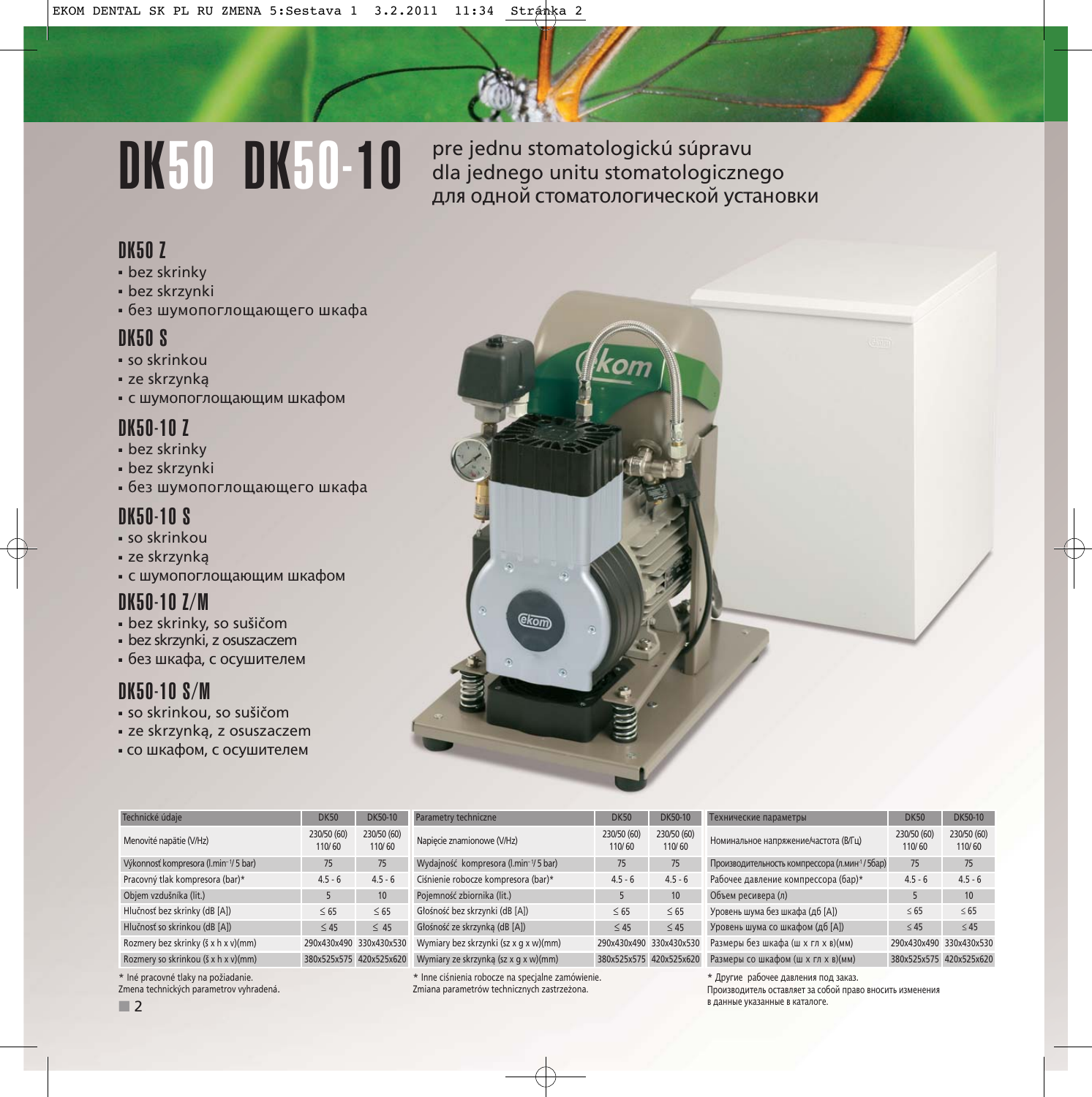# DK50 DK50-10

pre jednu stomatologickú súpravu dla jednego unitu stomatologicznego для одной стоматологической установки

#### DK50 Z

- bez skrinky
- bez skrzynki
- без шумопоглощающего шкафа

### DK50 S

- so skrinkou
- ze skrzynką
- с шумопоглощающим шкафом

## DK50-10 Z

- bez skrinky
- bez skrzynki
- без шумопоглощающего шкафа

## DK50-10 S

- so skrinkou
- ze skrzynką
- с шумопоглощающим шкафом

## DK50-10 Z/M

- bez skrinky, so sušičom
- bez skrzynki, z osuszaczem
- без шкафа, с осушителем

## DK50-10 S/M

- so skrinkou, so sušičom
- ze skrzynką, z osuszaczem
- со шкафом, с осушителем

Menovité napätie (V/Hz) 230/50 (60)

Výkonnosť kompresora (l.min<sup>-1</sup>/ 5 bar) 75 75 75

Objem vzdušníka (lit.) 5 10 Hlučnosť bez skrinky (dB [A])  $\leq 65$   $\leq 65$ 

110/ 60



|  |  |  |  |  | * Iné pracovné tlaky na požiadanie. |
|--|--|--|--|--|-------------------------------------|
|--|--|--|--|--|-------------------------------------|

Zmena technických parametrov vyhradená.



|   | Номинальное напряжение/частота (В/Гц)         | 230/50 (60)<br>110/60   | 230/50 (60)<br>110/60 |
|---|-----------------------------------------------|-------------------------|-----------------------|
|   | Производительность компрессора (л.мин-1/5бар) | 75                      | 75                    |
|   | Рабочее давление компрессора (бар)*           | $4.5 - 6$               | $4.5 - 6$             |
|   | Объем ресивера (л)                            | 5                       | 10                    |
|   | Уровень шума без шкафа (дб [А])               | < 65                    | $\leq 65$             |
|   | Уровень шума со шкафом (дб [А])               | < 45                    | < 45                  |
|   | Размеры без шкафа (ш х гл х в)(мм)            | 290x430x490 330x430x530 |                       |
| J | Размеры со шкафом (ш х гл х в)(мм)            | 380x525x575 420x525x620 |                       |
|   |                                               |                         |                       |

\* Другие рабочее давления под закaз. Производитель оставляет за собой право вносить изменения в данные указанные в каталоге.

Технические параметры DK50 DK50-10